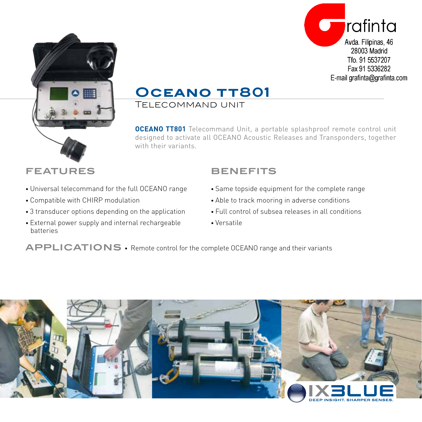



## **Oceano tt801**

Telecommand unit

**OCEANO TT801** Telecommand Unit, a portable splashproof remote control unit designed to activate all OCEANO Acoustic Releases and Transponders, together with their variants.

### **FEATURES**

- Universal telecommand for the full OCEANO range
- Compatible with CHIRP modulation
- 3 transducer options depending on the application
- External power supply and internal rechargeable batteries

## **BENEFITS**

- Same topside equipment for the complete range
- Able to track mooring in adverse conditions
- Full control of subsea releases in all conditions
- Versatile

**APPLICATIONS** • Remote control for the complete OCEANO range and their variants